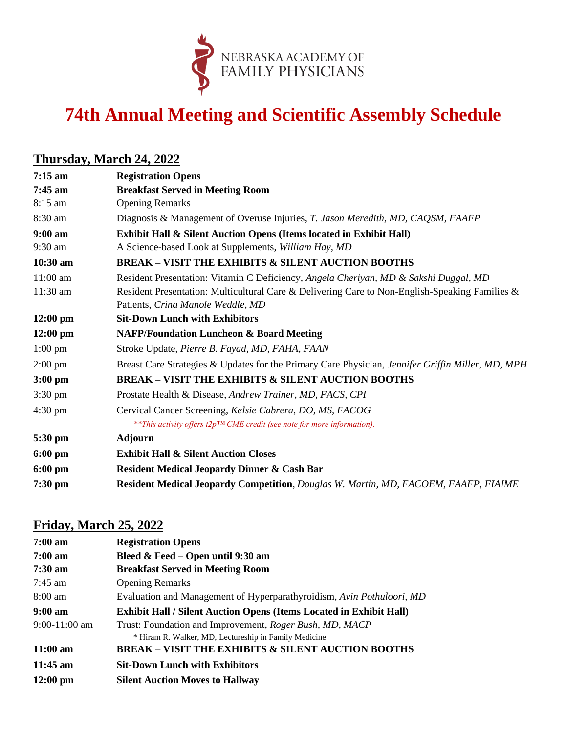

# **74th Annual Meeting and Scientific Assembly Schedule**

### **Thursday, March 24, 2022**

| $7:15 \text{ am}$  | <b>Registration Opens</b>                                                                         |
|--------------------|---------------------------------------------------------------------------------------------------|
| $7:45$ am          | <b>Breakfast Served in Meeting Room</b>                                                           |
| 8:15 am            | <b>Opening Remarks</b>                                                                            |
| 8:30 am            | Diagnosis & Management of Overuse Injuries, T. Jason Meredith, MD, CAQSM, FAAFP                   |
| $9:00 \text{ am}$  | Exhibit Hall & Silent Auction Opens (Items located in Exhibit Hall)                               |
| $9:30$ am          | A Science-based Look at Supplements, William Hay, MD                                              |
| 10:30 am           | <b>BREAK - VISIT THE EXHIBITS &amp; SILENT AUCTION BOOTHS</b>                                     |
| 11:00 am           | Resident Presentation: Vitamin C Deficiency, Angela Cheriyan, MD & Sakshi Duggal, MD              |
| $11:30$ am         | Resident Presentation: Multicultural Care & Delivering Care to Non-English-Speaking Families &    |
|                    | Patients, Crina Manole Weddle, MD                                                                 |
| $12:00 \text{ pm}$ | <b>Sit-Down Lunch with Exhibitors</b>                                                             |
| $12:00 \text{ pm}$ | <b>NAFP/Foundation Luncheon &amp; Board Meeting</b>                                               |
| $1:00 \text{ pm}$  | Stroke Update, Pierre B. Fayad, MD, FAHA, FAAN                                                    |
| $2:00 \text{ pm}$  | Breast Care Strategies & Updates for the Primary Care Physician, Jennifer Griffin Miller, MD, MPH |
| $3:00$ pm          | <b>BREAK - VISIT THE EXHIBITS &amp; SILENT AUCTION BOOTHS</b>                                     |
| $3:30 \text{ pm}$  | Prostate Health & Disease, Andrew Trainer, MD, FACS, CPI                                          |
| $4:30 \text{ pm}$  | Cervical Cancer Screening, Kelsie Cabrera, DO, MS, FACOG                                          |
|                    | ** This activity offers t2p <sup>TM</sup> CME credit (see note for more information).             |
| 5:30 pm            | <b>Adjourn</b>                                                                                    |
| $6:00 \text{ pm}$  | <b>Exhibit Hall &amp; Silent Auction Closes</b>                                                   |
| $6:00 \text{ pm}$  | <b>Resident Medical Jeopardy Dinner &amp; Cash Bar</b>                                            |
| $7:30$ pm          | Resident Medical Jeopardy Competition, Douglas W. Martin, MD, FACOEM, FAAFP, FIAIME               |

### **Friday, March 25, 2022**

| 7:00 am            | <b>Registration Opens</b>                                                  |
|--------------------|----------------------------------------------------------------------------|
| 7:00 am            | Bleed & Feed – Open until 9:30 am                                          |
| 7:30 am            | <b>Breakfast Served in Meeting Room</b>                                    |
| 7:45 am            | <b>Opening Remarks</b>                                                     |
| 8:00 am            | Evaluation and Management of Hyperparathyroidism, Avin Pothuloori, MD      |
| 9:00 am            | <b>Exhibit Hall / Silent Auction Opens (Items Located in Exhibit Hall)</b> |
| 9:00-11:00 am      | Trust: Foundation and Improvement, Roger Bush, MD, MACP                    |
|                    | * Hiram R. Walker, MD, Lectureship in Family Medicine                      |
| 11:00 am           | <b>BREAK – VISIT THE EXHIBITS &amp; SILENT AUCTION BOOTHS</b>              |
| 11:45 am           | <b>Sit-Down Lunch with Exhibitors</b>                                      |
| $12:00 \text{ pm}$ | <b>Silent Auction Moves to Hallway</b>                                     |